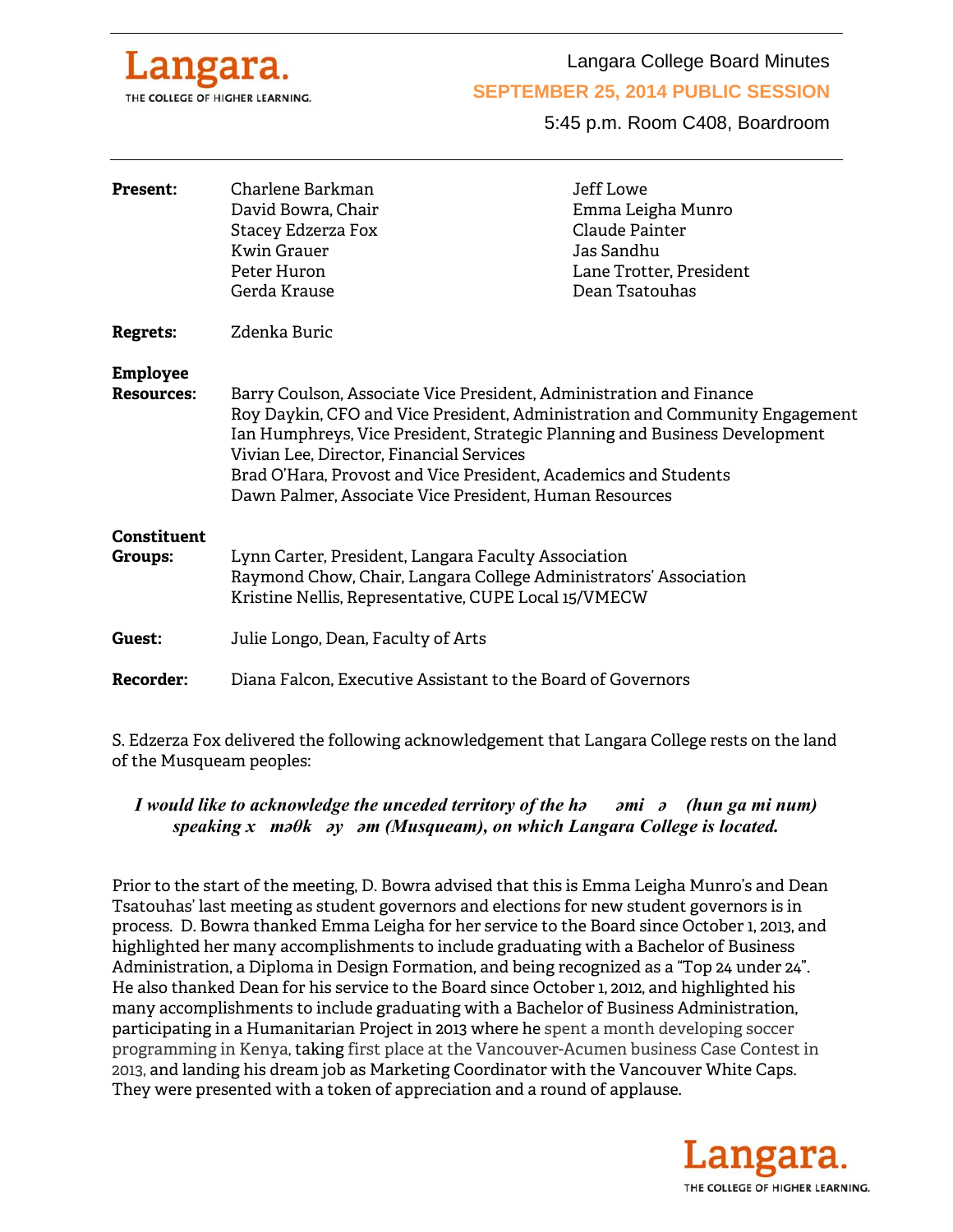

Langara College Board Minutes

#### **SEPTEMBER 25, 2014 PUBLIC SESSION**

5:45 p.m. Room C408, Boardroom

| <b>Present:</b>                      | Charlene Barkman<br>David Bowra, Chair<br>Stacey Edzerza Fox<br><b>Kwin Grauer</b><br>Peter Huron<br>Gerda Krause                                                                                                                                                                                                                                                                                         | Jeff Lowe<br>Emma Leigha Munro<br>Claude Painter<br>Jas Sandhu<br>Lane Trotter, President<br>Dean Tsatouhas |
|--------------------------------------|-----------------------------------------------------------------------------------------------------------------------------------------------------------------------------------------------------------------------------------------------------------------------------------------------------------------------------------------------------------------------------------------------------------|-------------------------------------------------------------------------------------------------------------|
| <b>Regrets:</b>                      | Zdenka Buric                                                                                                                                                                                                                                                                                                                                                                                              |                                                                                                             |
| <b>Employee</b><br><b>Resources:</b> | Barry Coulson, Associate Vice President, Administration and Finance<br>Roy Daykin, CFO and Vice President, Administration and Community Engagement<br>Ian Humphreys, Vice President, Strategic Planning and Business Development<br>Vivian Lee, Director, Financial Services<br>Brad O'Hara, Provost and Vice President, Academics and Students<br>Dawn Palmer, Associate Vice President, Human Resources |                                                                                                             |
| Constituent<br>Groups:               | Lynn Carter, President, Langara Faculty Association<br>Raymond Chow, Chair, Langara College Administrators' Association<br>Kristine Nellis, Representative, CUPE Local 15/VMECW                                                                                                                                                                                                                           |                                                                                                             |
| Guest:                               | Julie Longo, Dean, Faculty of Arts                                                                                                                                                                                                                                                                                                                                                                        |                                                                                                             |
| Recorder:                            | Diana Falcon, Executive Assistant to the Board of Governors                                                                                                                                                                                                                                                                                                                                               |                                                                                                             |

S. Edzerza Fox delivered the following acknowledgement that Langara College rests on the land of the Musqueam peoples:

# *I would like to acknowledge the unceded territory of the həəmiə (hun ga mi num) speaking xməθkəyəm (Musqueam), on which Langara College is located.*

Prior to the start of the meeting, D. Bowra advised that this is Emma Leigha Munro's and Dean Tsatouhas' last meeting as student governors and elections for new student governors is in process. D. Bowra thanked Emma Leigha for her service to the Board since October 1, 2013, and highlighted her many accomplishments to include graduating with a Bachelor of Business Administration, a Diploma in Design Formation, and being recognized as a "Top 24 under 24". He also thanked Dean for his service to the Board since October 1, 2012, and highlighted his many accomplishments to include graduating with a Bachelor of Business Administration, participating in a Humanitarian Project in 2013 where he spent a month developing soccer programming in Kenya, taking first place at the Vancouver-Acumen business Case Contest in 2013, and landing his dream job as Marketing Coordinator with the Vancouver White Caps. They were presented with a token of appreciation and a round of applause.

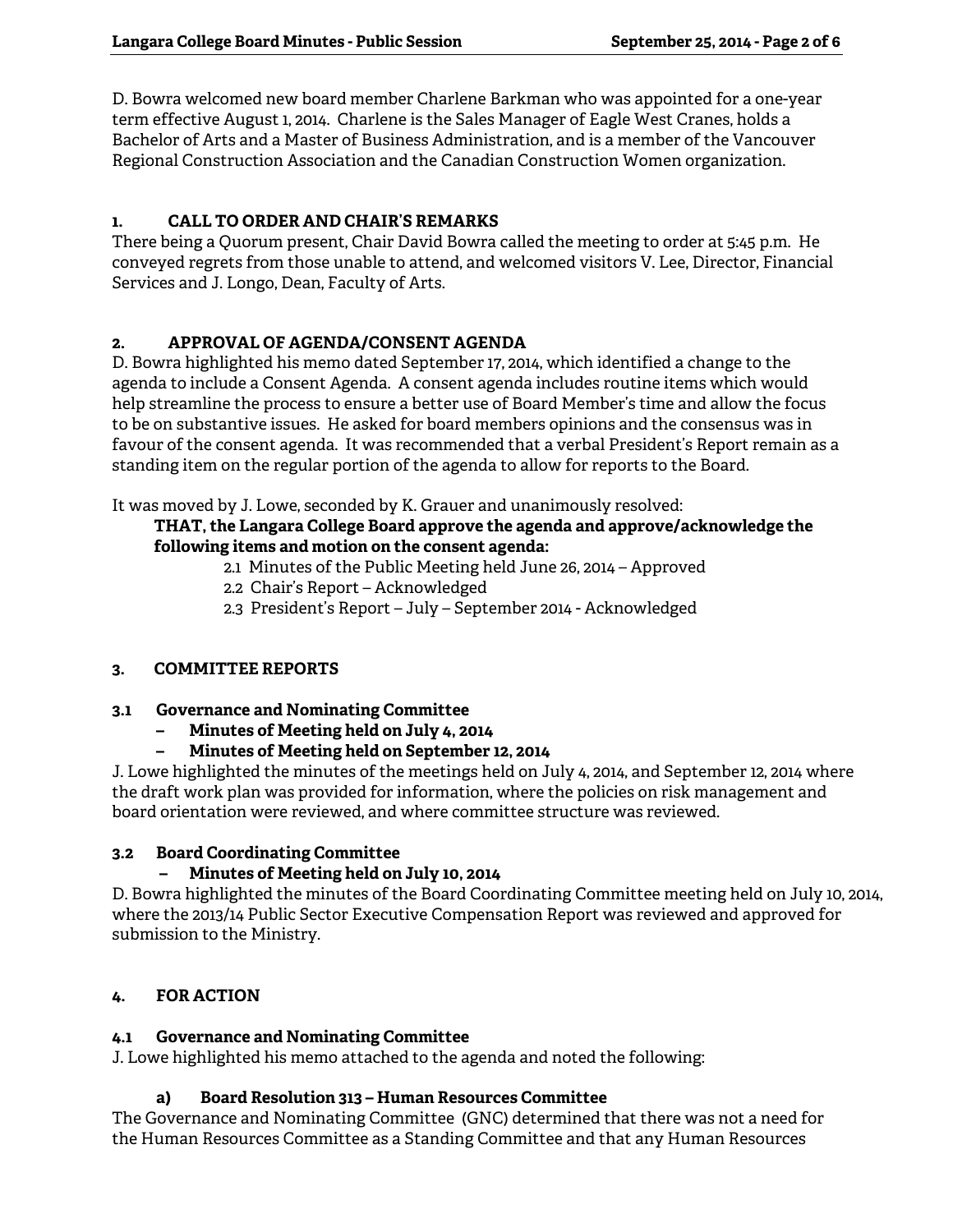D. Bowra welcomed new board member Charlene Barkman who was appointed for a one-year term effective August 1, 2014. Charlene is the Sales Manager of Eagle West Cranes, holds a Bachelor of Arts and a Master of Business Administration, and is a member of the Vancouver Regional Construction Association and the Canadian Construction Women organization.

## **1. CALL TO ORDER AND CHAIR'S REMARKS**

There being a Quorum present, Chair David Bowra called the meeting to order at 5:45 p.m. He conveyed regrets from those unable to attend, and welcomed visitors V. Lee, Director, Financial Services and J. Longo, Dean, Faculty of Arts.

## **2. APPROVAL OF AGENDA/CONSENT AGENDA**

D. Bowra highlighted his memo dated September 17, 2014, which identified a change to the agenda to include a Consent Agenda. A consent agenda includes routine items which would help streamline the process to ensure a better use of Board Member's time and allow the focus to be on substantive issues. He asked for board members opinions and the consensus was in favour of the consent agenda. It was recommended that a verbal President's Report remain as a standing item on the regular portion of the agenda to allow for reports to the Board.

It was moved by J. Lowe, seconded by K. Grauer and unanimously resolved:

## **THAT, the Langara College Board approve the agenda and approve/acknowledge the following items and motion on the consent agenda:**

- 2.1 Minutes of the Public Meeting held June 26, 2014 Approved
- 2.2 Chair's Report Acknowledged
- 2.3 President's Report July September 2014 Acknowledged

## **3. COMMITTEE REPORTS**

## **3.1 Governance and Nominating Committee**

- **Minutes of Meeting held on July 4, 2014**
- **Minutes of Meeting held on September 12, 2014**

J. Lowe highlighted the minutes of the meetings held on July 4, 2014, and September 12, 2014 where the draft work plan was provided for information, where the policies on risk management and board orientation were reviewed, and where committee structure was reviewed.

## **3.2 Board Coordinating Committee**

## **– Minutes of Meeting held on July 10, 2014**

D. Bowra highlighted the minutes of the Board Coordinating Committee meeting held on July 10, 2014, where the 2013/14 Public Sector Executive Compensation Report was reviewed and approved for submission to the Ministry.

# **4. FOR ACTION**

## **4.1 Governance and Nominating Committee**

J. Lowe highlighted his memo attached to the agenda and noted the following:

## **a) Board Resolution 313 – Human Resources Committee**

The Governance and Nominating Committee (GNC) determined that there was not a need for the Human Resources Committee as a Standing Committee and that any Human Resources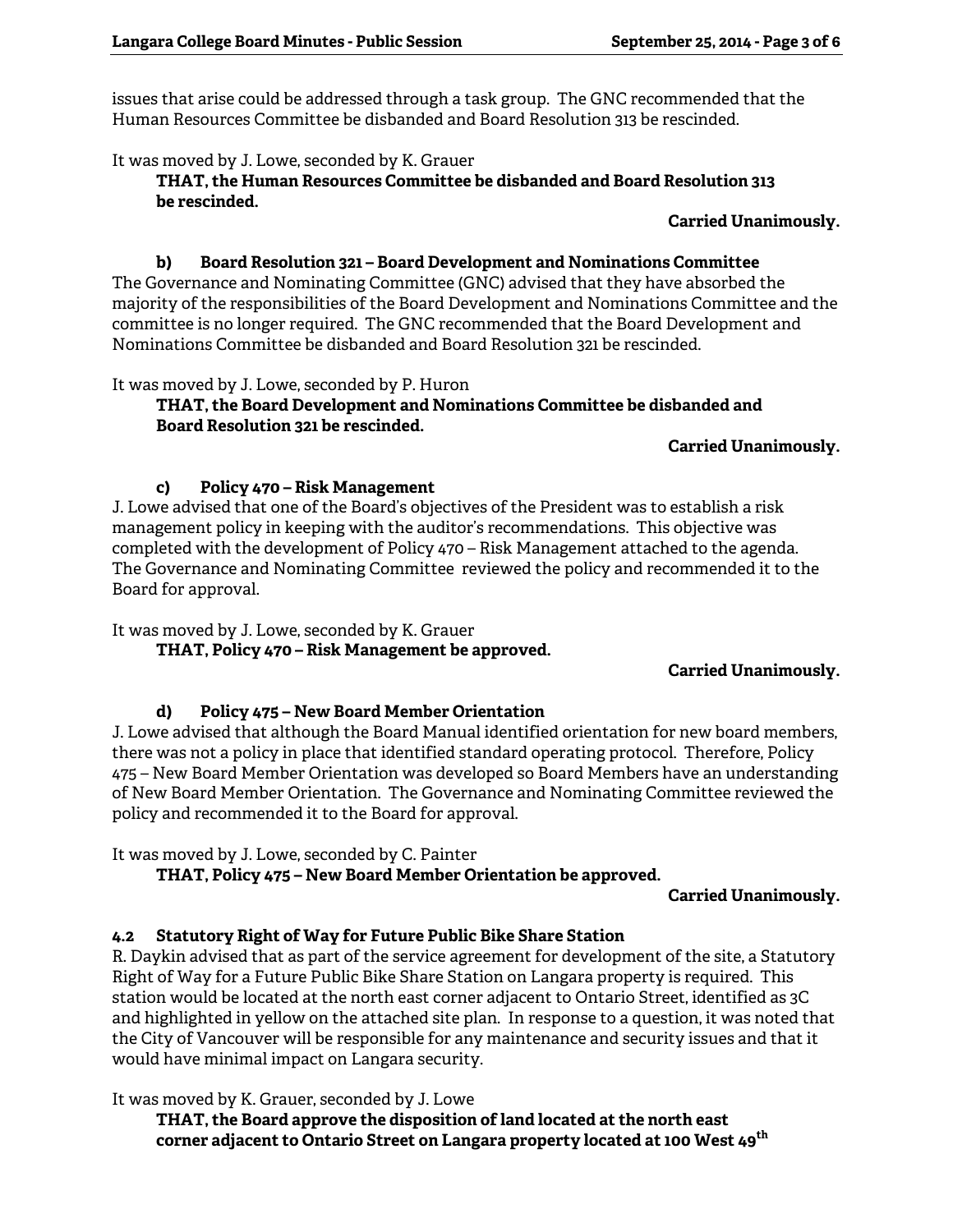issues that arise could be addressed through a task group. The GNC recommended that the Human Resources Committee be disbanded and Board Resolution 313 be rescinded.

It was moved by J. Lowe, seconded by K. Grauer

**THAT, the Human Resources Committee be disbanded and Board Resolution 313 be rescinded.** 

**Carried Unanimously.** 

#### **b) Board Resolution 321 – Board Development and Nominations Committee**

The Governance and Nominating Committee (GNC) advised that they have absorbed the majority of the responsibilities of the Board Development and Nominations Committee and the committee is no longer required. The GNC recommended that the Board Development and Nominations Committee be disbanded and Board Resolution 321 be rescinded.

It was moved by J. Lowe, seconded by P. Huron

**THAT, the Board Development and Nominations Committee be disbanded and Board Resolution 321 be rescinded.** 

## **Carried Unanimously.**

#### **c) Policy 470 – Risk Management**

J. Lowe advised that one of the Board's objectives of the President was to establish a risk management policy in keeping with the auditor's recommendations. This objective was completed with the development of Policy 470 – Risk Management attached to the agenda. The Governance and Nominating Committee reviewed the policy and recommended it to the Board for approval.

It was moved by J. Lowe, seconded by K. Grauer

 **THAT, Policy 470 – Risk Management be approved.** 

## **Carried Unanimously.**

## **d) Policy 475 – New Board Member Orientation**

J. Lowe advised that although the Board Manual identified orientation for new board members, there was not a policy in place that identified standard operating protocol. Therefore, Policy 475 – New Board Member Orientation was developed so Board Members have an understanding of New Board Member Orientation. The Governance and Nominating Committee reviewed the policy and recommended it to the Board for approval.

It was moved by J. Lowe, seconded by C. Painter

 **THAT, Policy 475 – New Board Member Orientation be approved.** 

**Carried Unanimously.** 

## **4.2 Statutory Right of Way for Future Public Bike Share Station**

R. Daykin advised that as part of the service agreement for development of the site, a Statutory Right of Way for a Future Public Bike Share Station on Langara property is required. This station would be located at the north east corner adjacent to Ontario Street, identified as 3C and highlighted in yellow on the attached site plan. In response to a question, it was noted that the City of Vancouver will be responsible for any maintenance and security issues and that it would have minimal impact on Langara security.

It was moved by K. Grauer, seconded by J. Lowe

**THAT, the Board approve the disposition of land located at the north east corner adjacent to Ontario Street on Langara property located at 100 West 49th**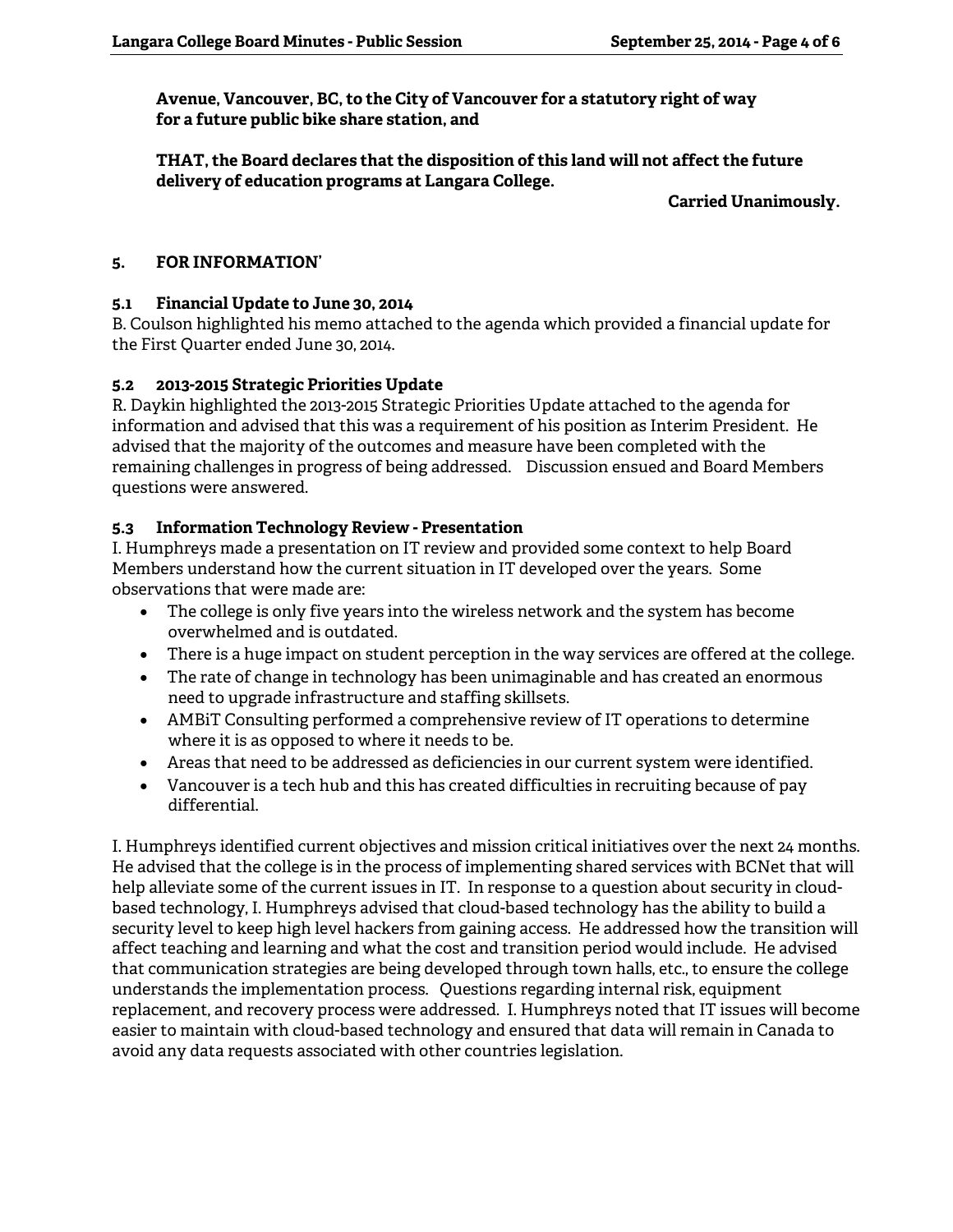**Avenue, Vancouver, BC, to the City of Vancouver for a statutory right of way for a future public bike share station, and** 

**THAT, the Board declares that the disposition of this land will not affect the future delivery of education programs at Langara College.** 

**Carried Unanimously.** 

## **5. FOR INFORMATION'**

## **5.1 Financial Update to June 30, 2014**

B. Coulson highlighted his memo attached to the agenda which provided a financial update for the First Quarter ended June 30, 2014.

## **5.2 2013-2015 Strategic Priorities Update**

R. Daykin highlighted the 2013-2015 Strategic Priorities Update attached to the agenda for information and advised that this was a requirement of his position as Interim President. He advised that the majority of the outcomes and measure have been completed with the remaining challenges in progress of being addressed. Discussion ensued and Board Members questions were answered.

# **5.3 Information Technology Review - Presentation**

I. Humphreys made a presentation on IT review and provided some context to help Board Members understand how the current situation in IT developed over the years. Some observations that were made are:

- The college is only five years into the wireless network and the system has become overwhelmed and is outdated.
- There is a huge impact on student perception in the way services are offered at the college.
- The rate of change in technology has been unimaginable and has created an enormous need to upgrade infrastructure and staffing skillsets.
- AMBiT Consulting performed a comprehensive review of IT operations to determine where it is as opposed to where it needs to be.
- Areas that need to be addressed as deficiencies in our current system were identified.
- Vancouver is a tech hub and this has created difficulties in recruiting because of pay differential.

I. Humphreys identified current objectives and mission critical initiatives over the next 24 months. He advised that the college is in the process of implementing shared services with BCNet that will help alleviate some of the current issues in IT. In response to a question about security in cloudbased technology, I. Humphreys advised that cloud-based technology has the ability to build a security level to keep high level hackers from gaining access. He addressed how the transition will affect teaching and learning and what the cost and transition period would include. He advised that communication strategies are being developed through town halls, etc., to ensure the college understands the implementation process. Questions regarding internal risk, equipment replacement, and recovery process were addressed. I. Humphreys noted that IT issues will become easier to maintain with cloud-based technology and ensured that data will remain in Canada to avoid any data requests associated with other countries legislation.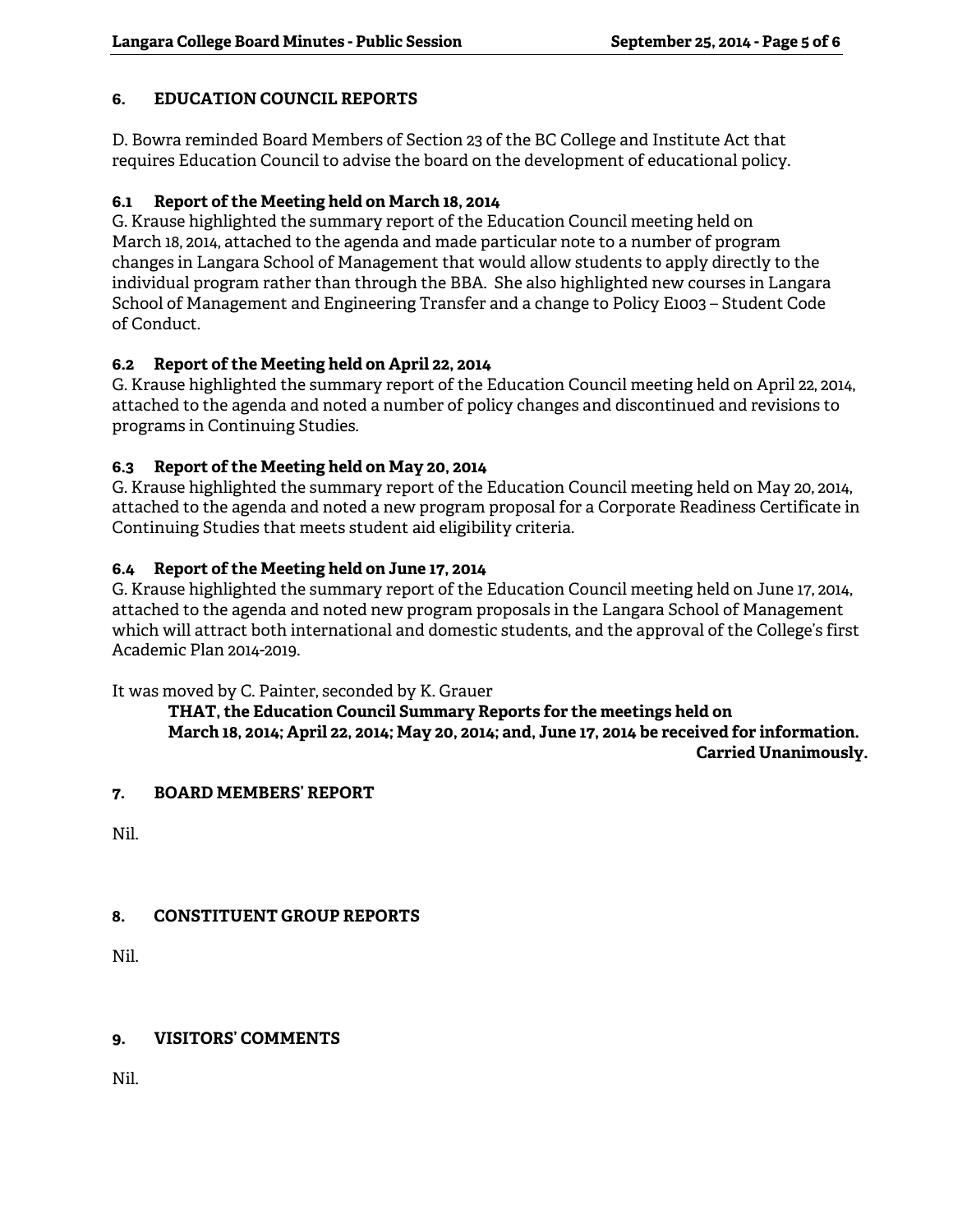## **6. EDUCATION COUNCIL REPORTS**

D. Bowra reminded Board Members of Section 23 of the BC College and Institute Act that requires Education Council to advise the board on the development of educational policy.

## **6.1 Report of the Meeting held on March 18, 2014**

G. Krause highlighted the summary report of the Education Council meeting held on March 18, 2014, attached to the agenda and made particular note to a number of program changes in Langara School of Management that would allow students to apply directly to the individual program rather than through the BBA. She also highlighted new courses in Langara School of Management and Engineering Transfer and a change to Policy E1003 – Student Code of Conduct.

## **6.2 Report of the Meeting held on April 22, 2014**

G. Krause highlighted the summary report of the Education Council meeting held on April 22, 2014, attached to the agenda and noted a number of policy changes and discontinued and revisions to programs in Continuing Studies.

## **6.3 Report of the Meeting held on May 20, 2014**

G. Krause highlighted the summary report of the Education Council meeting held on May 20, 2014, attached to the agenda and noted a new program proposal for a Corporate Readiness Certificate in Continuing Studies that meets student aid eligibility criteria.

## **6.4 Report of the Meeting held on June 17, 2014**

G. Krause highlighted the summary report of the Education Council meeting held on June 17, 2014, attached to the agenda and noted new program proposals in the Langara School of Management which will attract both international and domestic students, and the approval of the College's first Academic Plan 2014-2019.

It was moved by C. Painter, seconded by K. Grauer

 **THAT, the Education Council Summary Reports for the meetings held on March 18, 2014; April 22, 2014; May 20, 2014; and, June 17, 2014 be received for information. Carried Unanimously.** 

## **7. BOARD MEMBERS' REPORT**

Nil.

# **8. CONSTITUENT GROUP REPORTS**

Nil.

## **9. VISITORS' COMMENTS**

Nil.